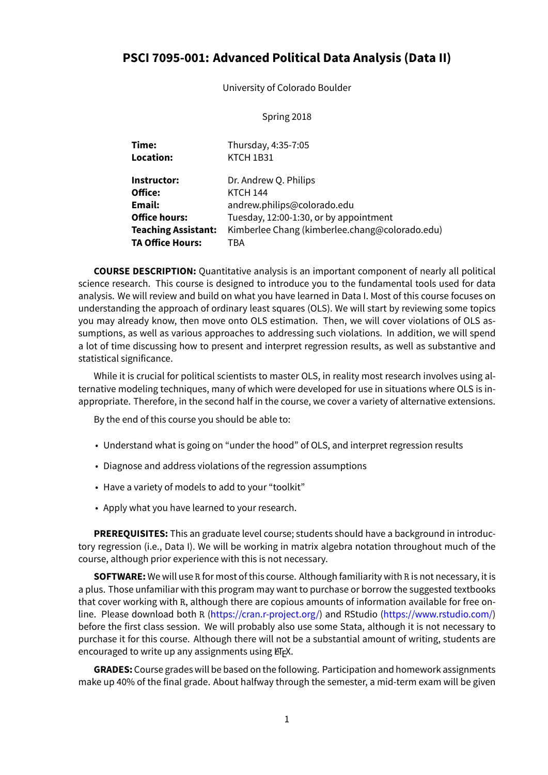# **PSCI 7095-001: Advanced Political Data Analysis (Data II)**

University of Colorado Boulder

## Spring 2018

| Time:<br>Location:         | Thursday, 4:35-7:05<br>KTCH 1B31               |
|----------------------------|------------------------------------------------|
| Instructor:                | Dr. Andrew Q. Philips                          |
| Office:                    | <b>KTCH 144</b>                                |
| Email:                     | andrew.philips@colorado.edu                    |
| <b>Office hours:</b>       | Tuesday, 12:00-1:30, or by appointment         |
| <b>Teaching Assistant:</b> | Kimberlee Chang (kimberlee.chang@colorado.edu) |
| <b>TA Office Hours:</b>    | TBA                                            |

**COURSE DESCRIPTION:** Quantitative analysis is an important component of nearly all political science research. This course is designed to introduce you to the fundamental tools used for data analysis. We will review and build on what you have learned in Data I. Most of this course focuses on understanding the approach of ordinary least squares (OLS). We will start by reviewing some topics you may already know, then move onto OLS estimation. Then, we will cover violations of OLS assumptions, as well as various approaches to addressing such violations. In addition, we will spend a lot of time discussing how to present and interpret regression results, as well as substantive and statistical significance.

While it is crucial for political scientists to master OLS, in reality most research involves using alternative modeling techniques, many of which were developed for use in situations where OLS is inappropriate. Therefore, in the second half in the course, we cover a variety of alternative extensions.

By the end of this course you should be able to:

- Understand what is going on "under the hood" of OLS, and interpret regression results
- Diagnose and address violations of the regression assumptions
- Have a variety of models to add to your "toolkit"
- Apply what you have learned to your research.

**PREREQUISITES:** This an graduate level course; students should have a background in introductory regression (i.e., Data I). We will be working in matrix algebra notation throughout much of the course, although prior experience with this is not necessary.

**SOFTWARE:** We will use R for most of this course. Although familiarity with R is not necessary, it is a plus. Those unfamiliar with this program may want to purchase or borrow the suggested textbooks that cover working with R, although there are copious amounts of information available for free online. Please download both R (<https://cran.r-project.org/>) and RStudio(<https://www.rstudio.com/>) before the first class session. We will probably also use some Stata, although it is not necessary to purchase it for this course. Although there will not be a substantial amount of writing, students are encouraged to write up any assignments using  $E/FX$ .

**GRADES:** Course grades will be based on the following. Participation and homework assignments make up 40% of the final grade. About halfway through the semester, a mid-term exam will be given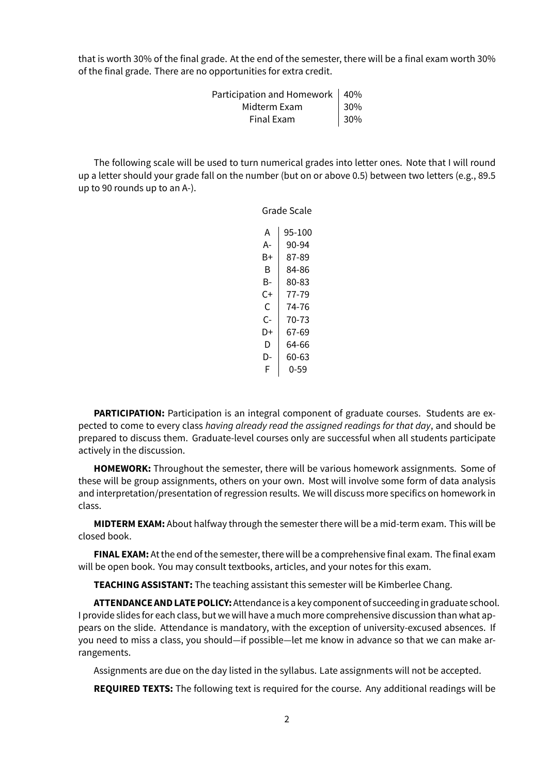that is worth 30% of the final grade. At the end of the semester, there will be a final exam worth 30% of the final grade. There are no opportunities for extra credit.

| Participation and Homework   40% |                |
|----------------------------------|----------------|
| Midterm Exam                     | $ 30\%$<br>30% |
| Final Exam                       |                |

The following scale will be used to turn numerical grades into letter ones. Note that I will round up a letter should your grade fall on the number (but on or above 0.5) between two letters (e.g., 89.5 up to 90 rounds up to an A-).

Grade Scale

| А  | 95-100 |
|----|--------|
| А- | 90-94  |
| B+ | 87-89  |
| B  | 84-86  |
| В- | 80-83  |
| C+ | 77-79  |
| C  | 74-76  |
| r- | 70-73  |
| D+ | 67-69  |
| D  | 64-66  |
| D- | 60-63  |
| F  | 0-59   |
|    |        |

**PARTICIPATION:** Participation is an integral component of graduate courses. Students are expected to come to every class *having already read the assigned readings for that day*, and should be prepared to discuss them. Graduate-level courses only are successful when all students participate actively in the discussion.

**HOMEWORK:** Throughout the semester, there will be various homework assignments. Some of these will be group assignments, others on your own. Most will involve some form of data analysis and interpretation/presentation of regression results. We will discuss more specifics on homework in class.

**MIDTERM EXAM:** About halfway through the semester there will be a mid-term exam. This will be closed book.

**FINAL EXAM:** At the end of the semester, there will be a comprehensive final exam. The final exam will be open book. You may consult textbooks, articles, and your notes for this exam.

**TEACHING ASSISTANT:** The teaching assistant this semester will be Kimberlee Chang.

**ATTENDANCE AND LATE POLICY:**Attendance is a key component of succeeding in graduate school. I provide slides for each class, but we will have a much more comprehensive discussion than what appears on the slide. Attendance is mandatory, with the exception of university-excused absences. If you need to miss a class, you should—if possible—let me know in advance so that we can make arrangements.

Assignments are due on the day listed in the syllabus. Late assignments will not be accepted.

**REQUIRED TEXTS:** The following text is required for the course. Any additional readings will be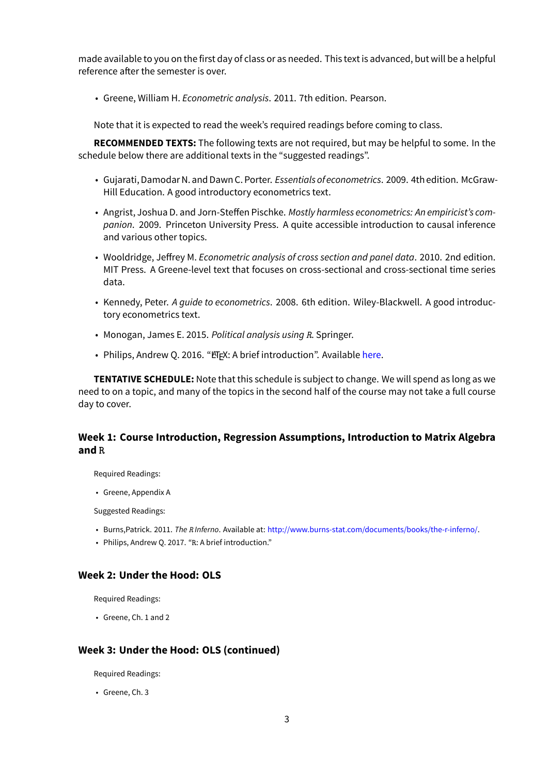made available to you on the first day of class or as needed. This text is advanced, but will be a helpful reference after the semester is over.

• Greene, William H. *Econometric analysis*. 2011. 7th edition. Pearson.

Note that it is expected to read the week's required readings before coming to class.

**RECOMMENDED TEXTS:** The following texts are not required, but may be helpful to some. In the schedule below there are additional texts in the "suggested readings".

- Gujarati, Damodar N. and Dawn C. Porter. *Essentials of econometrics*. 2009. 4th edition. McGraw-Hill Education. A good introductory econometrics text.
- Angrist, Joshua D. and Jorn-Steffen Pischke. *Mostly harmless econometrics: An empiricist's companion*. 2009. Princeton University Press. A quite accessible introduction to causal inference and various other topics.
- Wooldridge, Jeffrey M. *Econometric analysis of cross section and panel data*. 2010. 2nd edition. MIT Press. A Greene-level text that focuses on cross-sectional and cross-sectional time series data.
- Kennedy, Peter. *A guide to econometrics*. 2008. 6th edition. Wiley-Blackwell. A good introductory econometrics text.
- Monogan, James E. 2015. *Political analysis using R*. Springer.
- Philips, Andrew Q. 2016. "ETEX: A brief introduction". Available [here](http://www.andyphilips.com/downloads/introduction%20to%20latex%20Philips.pdf).

**TENTATIVE SCHEDULE:** Note that this schedule is subject to change. We will spend as long as we need to on a topic, and many of the topics in the second half of the course may not take a full course day to cover.

## **Week 1: Course Introduction, Regression Assumptions, Introduction to Matrix Algebra and R**

Required Readings:

• Greene, Appendix A

Suggested Readings:

- Burns,Patrick. 2011. *The R Inferno*. Available at: <http://www.burns-stat.com/documents/books/the-r-inferno/>.
- Philips, Andrew Q. 2017. "R: A brief introduction."

#### **Week 2: Under the Hood: OLS**

Required Readings:

• Greene, Ch. 1 and 2

#### **Week 3: Under the Hood: OLS (continued)**

Required Readings:

• Greene, Ch. 3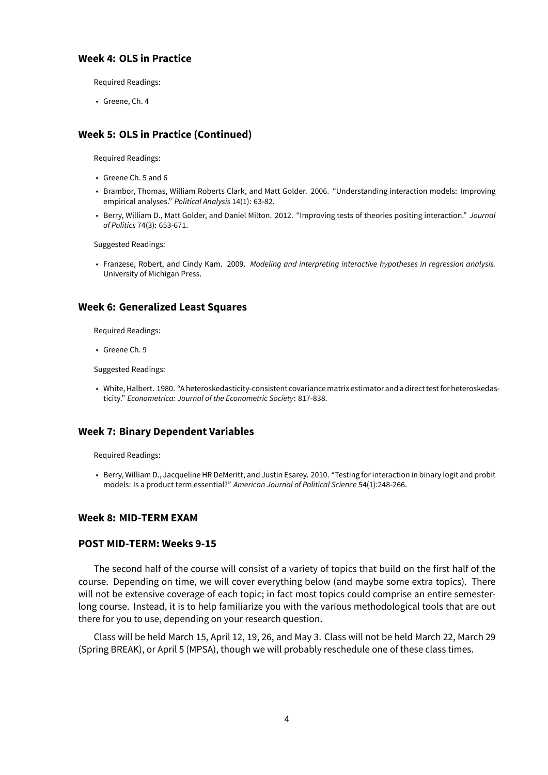#### **Week 4: OLS in Practice**

Required Readings:

• Greene, Ch. 4

## **Week 5: OLS in Practice (Continued)**

Required Readings:

- Greene Ch. 5 and 6
- Brambor, Thomas, William Roberts Clark, and Matt Golder. 2006. "Understanding interaction models: Improving empirical analyses." *Political Analysis* 14(1): 63-82.
- Berry, William D., Matt Golder, and Daniel Milton. 2012. "Improving tests of theories positing interaction." *Journal of Politics* 74(3): 653-671.

Suggested Readings:

• Franzese, Robert, and Cindy Kam. 2009. *Modeling and interpreting interactive hypotheses in regression analysis.* University of Michigan Press.

## **Week 6: Generalized Least Squares**

Required Readings:

• Greene Ch. 9

Suggested Readings:

• White, Halbert. 1980. "A heteroskedasticity-consistent covariancematrix estimator and a direct testfor heteroskedasticity." *Econometrica: Journal of the Econometric Society*: 817-838.

#### **Week 7: Binary Dependent Variables**

Required Readings:

• Berry, William D., Jacqueline HR DeMeritt, and Justin Esarey. 2010. "Testing for interaction in binary logit and probit models: Is a product term essential?" *American Journal of Political Science* 54(1):248-266.

#### **Week 8: MID-TERM EXAM**

#### **POST MID-TERM: Weeks 9-15**

The second half of the course will consist of a variety of topics that build on the first half of the course. Depending on time, we will cover everything below (and maybe some extra topics). There will not be extensive coverage of each topic; in fact most topics could comprise an entire semesterlong course. Instead, it is to help familiarize you with the various methodological tools that are out there for you to use, depending on your research question.

Class will be held March 15, April 12, 19, 26, and May 3. Class will not be held March 22, March 29 (Spring BREAK), or April 5 (MPSA), though we will probably reschedule one of these class times.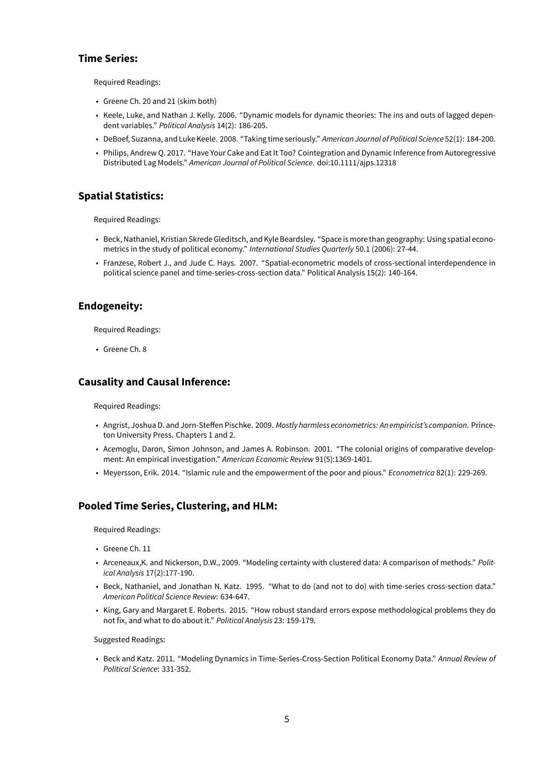### **Time Series:**

Required Readings:

- Greene Ch. 20 and 21 (skim both)
- Keele, Luke, and Nathan J. Kelly. 2006. "Dynamic models for dynamic theories: The ins and outs of lagged dependent variables." *Political Analysis* 14(2): 186-205.
- DeBoef, Suzanna, and Luke Keele. 2008. "Taking time seriously." *American Journal of Political Science* 52(1): 184-200.
- Philips, Andrew Q. 2017. "Have Your Cake and Eat It Too? Cointegration and Dynamic Inference from Autoregressive Distributed Lag Models." *American Journal of Political Science*. doi:10.1111/ajps.12318

### **Spatial Statistics:**

Required Readings:

- Beck, Nathaniel, Kristian Skrede Gleditsch, and Kyle Beardsley. "Space is more than geography: Using spatial econometrics in the study of political economy." *International Studies Quarterly* 50.1 (2006): 27-44.
- Franzese, Robert J., and Jude C. Hays. 2007. "Spatial-econometric models of cross-sectional interdependence in political science panel and time-series-cross-section data." Political Analysis 15(2): 140-164.

#### **Endogeneity:**

Required Readings:

• Greene Ch. 8

#### **Causality and Causal Inference:**

Required Readings:

- Angrist, Joshua D. and Jorn-Steffen Pischke. 2009. *Mostly harmless econometrics: An empiricist's companion*. Princeton University Press. Chapters 1 and 2.
- Acemoglu, Daron, Simon Johnson, and James A. Robinson. 2001. "The colonial origins of comparative development: An empirical investigation." *American Economic Review* 91(5):1369-1401.
- Meyersson, Erik. 2014. "Islamic rule and the empowerment of the poor and pious." *Econometrica* 82(1): 229-269.

## **Pooled Time Series, Clustering, and HLM:**

Required Readings:

- Greene Ch. 11
- Arceneaux,K. and Nickerson, D.W., 2009. "Modeling certainty with clustered data: A comparison of methods." *Political Analysis* 17(2):177-190.
- Beck, Nathaniel, and Jonathan N. Katz. 1995. "What to do (and not to do) with time-series cross-section data." *American Political Science Review*: 634-647.
- King, Gary and Margaret E. Roberts. 2015. "How robust standard errors expose methodological problems they do not fix, and what to do about it." *Political Analysis* 23: 159-179.

Suggested Readings:

• Beck and Katz. 2011. "Modeling Dynamics in Time-Series-Cross-Section Political Economy Data." *Annual Review of Political Science*: 331-352.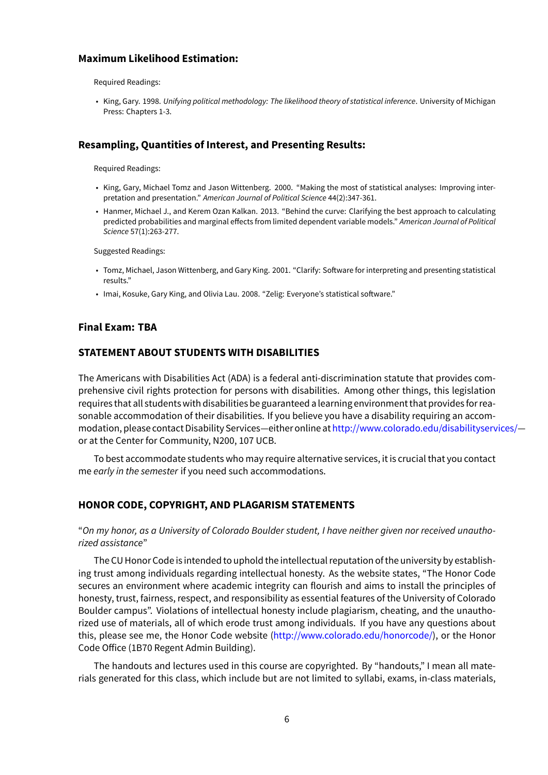#### **Maximum Likelihood Estimation:**

Required Readings:

• King, Gary. 1998. *Unifying political methodology: The likelihood theory of statistical inference*. University of Michigan Press: Chapters 1-3.

### **Resampling, Quantities of Interest, and Presenting Results:**

Required Readings:

- King, Gary, Michael Tomz and Jason Wittenberg. 2000. "Making the most of statistical analyses: Improving interpretation and presentation." *American Journal of Political Science* 44(2):347-361.
- Hanmer, Michael J., and Kerem Ozan Kalkan. 2013. "Behind the curve: Clarifying the best approach to calculating predicted probabilities and marginal effects from limited dependent variable models." *American Journal of Political Science* 57(1):263-277.

Suggested Readings:

- Tomz, Michael, Jason Wittenberg, and Gary King. 2001. "Clarify: Software for interpreting and presenting statistical results."
- Imai, Kosuke, Gary King, and Olivia Lau. 2008. "Zelig: Everyone's statistical software."

#### **Final Exam: TBA**

## **STATEMENT ABOUT STUDENTS WITH DISABILITIES**

The Americans with Disabilities Act (ADA) is a federal anti-discrimination statute that provides comprehensive civil rights protection for persons with disabilities. Among other things, this legislation requires that all students with disabilities be guaranteed a learning environment that providesfor reasonable accommodation of their disabilities. If you believe you have a disability requiring an accommodation, please contact Disability Services—either online at<http://www.colorado.edu/disabilityservices/> or at the Center for Community, N200, 107 UCB.

To best accommodate students who may require alternative services, it is crucial that you contact me *early in the semester* if you need such accommodations.

## **HONOR CODE, COPYRIGHT, AND PLAGARISM STATEMENTS**

"*On my honor, as a University of Colorado Boulder student, I have neither given nor received unauthorized assistance*"

The CU Honor Code is intended to uphold the intellectual reputation of the university by establishing trust among individuals regarding intellectual honesty. As the website states, "The Honor Code secures an environment where academic integrity can flourish and aims to install the principles of honesty, trust, fairness, respect, and responsibility as essential features of the University of Colorado Boulder campus". Violations of intellectual honesty include plagiarism, cheating, and the unauthorized use of materials, all of which erode trust among individuals. If you have any questions about this, please see me, the Honor Code website [\(http://www.colorado.edu/honorcode/](http://www.colorado.edu/honorcode/)), or the Honor Code Office (1B70 Regent Admin Building).

The handouts and lectures used in this course are copyrighted. By "handouts," I mean all materials generated for this class, which include but are not limited to syllabi, exams, in-class materials,